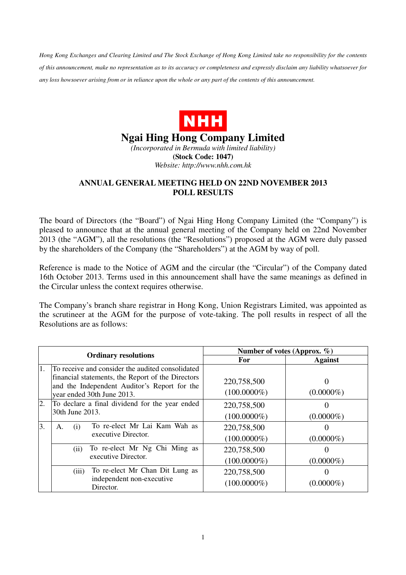*Hong Kong Exchanges and Clearing Limited and The Stock Exchange of Hong Kong Limited take no responsibility for the contents of this announcement, make no representation as to its accuracy or completeness and expressly disclaim any liability whatsoever for any loss howsoever arising from or in reliance upon the whole or any part of the contents of this announcement.* 



## **Ngai Hing Hong Company Limited**

*(Incorporated in Bermuda with limited liability)*  **(Stock Code: 1047)**  *Website: http://www.nhh.com.hk* 

## **ANNUAL GENERAL MEETING HELD ON 22ND NOVEMBER 2013 POLL RESULTS**

The board of Directors (the "Board") of Ngai Hing Hong Company Limited (the "Company") is pleased to announce that at the annual general meeting of the Company held on 22nd November 2013 (the "AGM"), all the resolutions (the "Resolutions") proposed at the AGM were duly passed by the shareholders of the Company (the "Shareholders") at the AGM by way of poll.

Reference is made to the Notice of AGM and the circular (the "Circular") of the Company dated 16th October 2013. Terms used in this announcement shall have the same meanings as defined in the Circular unless the context requires otherwise.

The Company's branch share registrar in Hong Kong, Union Registrars Limited, was appointed as the scrutineer at the AGM for the purpose of vote-taking. The poll results in respect of all the Resolutions are as follows:

| <b>Ordinary resolutions</b> |                                                                                                   | Number of votes (Approx. $\%$ ) |                |
|-----------------------------|---------------------------------------------------------------------------------------------------|---------------------------------|----------------|
|                             |                                                                                                   | For                             | <b>Against</b> |
| 11.                         | To receive and consider the audited consolidated                                                  |                                 |                |
|                             | financial statements, the Report of the Directors<br>and the Independent Auditor's Report for the | 220,758,500                     |                |
|                             | year ended 30th June 2013.                                                                        | $(100.0000\%)$                  | $(0.0000\%)$   |
| 2.                          | To declare a final dividend for the year ended<br>30th June 2013.                                 | 220,758,500                     |                |
|                             |                                                                                                   | $(100.0000\%)$                  | $(0.0000\%)$   |
| 3.                          | To re-elect Mr Lai Kam Wah as<br>(i)<br>А.<br>executive Director.                                 | 220,758,500                     |                |
|                             |                                                                                                   | $(100.0000\%)$                  | $(0.0000\%)$   |
|                             | To re-elect Mr Ng Chi Ming as<br>(ii)<br>executive Director.                                      | 220,758,500                     |                |
|                             |                                                                                                   | $(100.0000\%)$                  | $(0.0000\%)$   |
|                             | To re-elect Mr Chan Dit Lung as<br>(iii)                                                          | 220,758,500                     |                |
|                             | independent non-executive<br>Director.                                                            | $(100.0000\%)$                  | $(0.0000\%)$   |